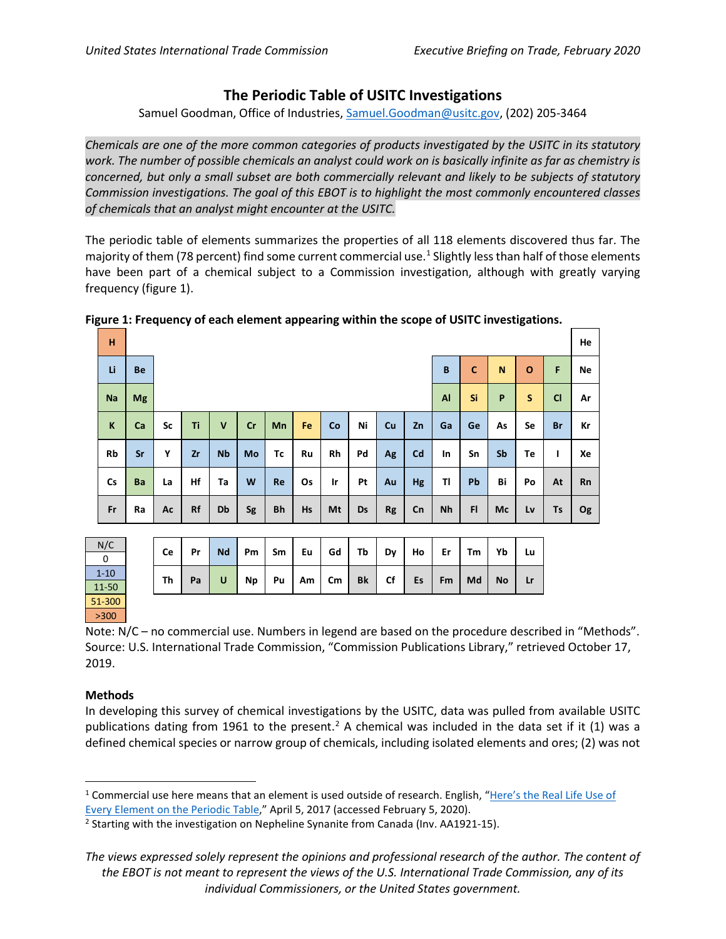# **The Periodic Table of USITC Investigations**

Samuel Goodman, Office of Industries, [Samuel.Goodman@usitc.gov,](mailto:Samuel.Goodman@usitc.gov) (202) 205-3464

*Chemicals are one of the more common categories of products investigated by the USITC in its statutory work. The number of possible chemicals an analyst could work on is basically infinite as far as chemistry is concerned, but only a small subset are both commercially relevant and likely to be subjects of statutory Commission investigations. The goal of this EBOT is to highlight the most commonly encountered classes of chemicals that an analyst might encounter at the USITC.*

The periodic table of elements summarizes the properties of all 118 elements discovered thus far. The majority of them (78 percent) find some current commercial use.<sup>[1](#page-0-0)</sup> Slightly less than half of those elements have been part of a chemical subject to a Commission investigation, although with greatly varying frequency (figure 1).

| н         |           | . . |           |              |    |           |    |    |    |           |    |    |    |    |              |           | He        |
|-----------|-----------|-----|-----------|--------------|----|-----------|----|----|----|-----------|----|----|----|----|--------------|-----------|-----------|
| Li        | Be        |     |           |              |    |           |    |    |    |           |    |    |    | N  | $\mathbf{o}$ | F         | Ne        |
| <b>Na</b> | <b>Mg</b> |     |           |              |    |           |    |    |    |           |    |    | Si | P  | S            | C1        | Ar        |
| K         | Ca        | Sc  | Ti        | $\mathsf{v}$ | Cr | <b>Mn</b> | Fe | Co | Ni | Cu        | Zn | Ga | Ge | As | Se           | <b>Br</b> | Кr        |
| Rb        | Sr        | Y   | Zr        | <b>Nb</b>    | Mo | Tc        | Ru | Rh | Pd | Ag        | Cd | In | Sn | Sb | Te           | т         | Xe        |
| <b>Cs</b> | Ba        | La  | Hf        | Ta           | W  | Re        | Os | Ir | Pt | Au        | Hg | TI | Pb | Bi | Po           | At        | Rn        |
| Fr        | Ra        | Ac  | <b>Rf</b> | Db           | Sg | Bh        | Hs | Mt | Ds | <b>Rg</b> | Cn | Nh | FI | Mc | Lv           | Ts        | <b>Og</b> |

### **Figure 1: Frequency of each element appearing within the scope of USITC investigations.**

| N/C      |  | Ce | Pr | <b>Nd</b> | Pm | Sm | Eu              | Gd | Tb        | Dy | Ho | Er | Tm | Yb        | Lu |
|----------|--|----|----|-----------|----|----|-----------------|----|-----------|----|----|----|----|-----------|----|
| 0        |  |    |    |           |    |    |                 |    |           |    |    |    |    |           |    |
| $1 - 10$ |  | Th | Pa | U         | Np | Pu | Am <sub>l</sub> | Cm | <b>Bk</b> | Cf | Es | Fm | Md | <b>No</b> | Lr |
| 11-50    |  |    |    |           |    |    |                 |    |           |    |    |    |    |           |    |
| 51-300   |  |    |    |           |    |    |                 |    |           |    |    |    |    |           |    |
| >300     |  |    |    |           |    |    |                 |    |           |    |    |    |    |           |    |

Note: N/C – no commercial use. Numbers in legend are based on the procedure described in "Methods". Source: U.S. International Trade Commission, "Commission Publications Library," retrieved October 17, 2019.

## **Methods**

In developing this survey of chemical investigations by the USITC, data was pulled from available USITC publications dating from 1961 to the present.<sup>[2](#page-0-1)</sup> A chemical was included in the data set if it (1) was a defined chemical species or narrow group of chemicals, including isolated elements and ores; (2) was not

<span id="page-0-0"></span><sup>&</sup>lt;sup>1</sup> Commercial use here means that an element is used outside of research. English, "Here's the Real Life Use of [Every Element on the Periodic Table,](https://interestingengineering.com/real-life-use-every-element-periodic-table)" April 5, 2017 (accessed February 5, 2020).

<span id="page-0-1"></span><sup>&</sup>lt;sup>2</sup> Starting with the investigation on Nepheline Synanite from Canada (Inv. AA1921-15).

*The views expressed solely represent the opinions and professional research of the author. The content of the EBOT is not meant to represent the views of the U.S. International Trade Commission, any of its individual Commissioners, or the United States government.*